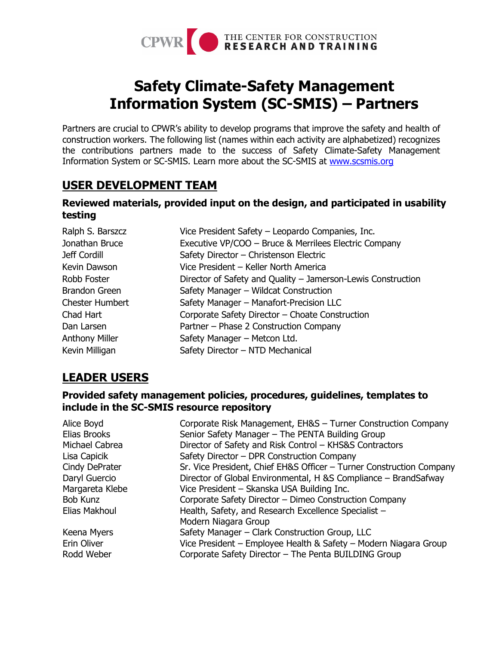

# **Safety Climate-Safety Management Information System (SC-SMIS) – Partners**

Partners are crucial to CPWR's ability to develop programs that improve the safety and health of construction workers. The following list (names within each activity are alphabetized) recognizes the contributions partners made to the success of Safety Climate-Safety Management Information System or SC-SMIS. Learn more about the SC-SMIS at [www.scsmis.org](http://www.scsmis.org/)

# **USER DEVELOPMENT TEAM**

### **Reviewed materials, provided input on the design, and participated in usability testing**

| Ralph S. Barszcz       | Vice President Safety - Leopardo Companies, Inc.             |
|------------------------|--------------------------------------------------------------|
| Jonathan Bruce         | Executive VP/COO - Bruce & Merrilees Electric Company        |
| Jeff Cordill           | Safety Director - Christenson Electric                       |
| Kevin Dawson           | Vice President - Keller North America                        |
| Robb Foster            | Director of Safety and Quality - Jamerson-Lewis Construction |
| <b>Brandon Green</b>   | Safety Manager - Wildcat Construction                        |
| <b>Chester Humbert</b> | Safety Manager - Manafort-Precision LLC                      |
| Chad Hart              | Corporate Safety Director - Choate Construction              |
| Dan Larsen             | Partner - Phase 2 Construction Company                       |
| <b>Anthony Miller</b>  | Safety Manager - Metcon Ltd.                                 |
| Kevin Milligan         | Safety Director - NTD Mechanical                             |

# **LEADER USERS**

#### **Provided safety management policies, procedures, guidelines, templates to include in the SC-SMIS resource repository**

| Alice Boyd<br>Elias Brooks | Corporate Risk Management, EH&S - Turner Construction Company<br>Senior Safety Manager - The PENTA Building Group |
|----------------------------|-------------------------------------------------------------------------------------------------------------------|
| Michael Cabrea             |                                                                                                                   |
|                            | Director of Safety and Risk Control - KHS&S Contractors                                                           |
| Lisa Capicik               | Safety Director - DPR Construction Company                                                                        |
| Cindy DePrater             | Sr. Vice President, Chief EH&S Officer - Turner Construction Company                                              |
| Daryl Guercio              | Director of Global Environmental, H & SCompliance - Brand Safway                                                  |
| Margareta Klebe            | Vice President - Skanska USA Building Inc.                                                                        |
| Bob Kunz                   | Corporate Safety Director - Dimeo Construction Company                                                            |
| Elias Makhoul              | Health, Safety, and Research Excellence Specialist -                                                              |
|                            | Modern Niagara Group                                                                                              |
| Keena Myers                | Safety Manager – Clark Construction Group, LLC                                                                    |
| Erin Oliver                | Vice President – Employee Health & Safety – Modern Niagara Group                                                  |
| Rodd Weber                 | Corporate Safety Director - The Penta BUILDING Group                                                              |